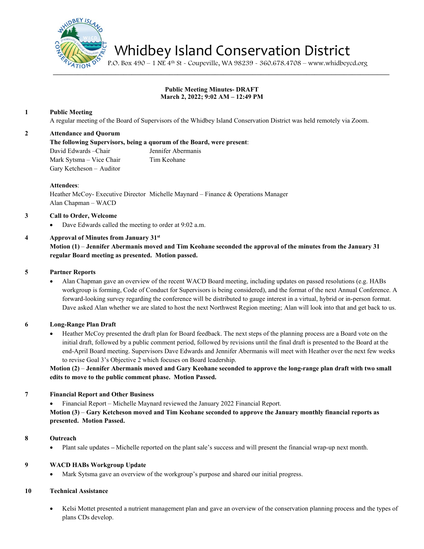

Whidbey Island Conservation District

P.O. Box 490 – 1 NE 4th St - Coupeville, WA 98239 - 360.678.4708 – www.whidbeycd.org

# **Public Meeting Minutes- DRAFT March 2, 2022; 9:02 AM – 12:49 PM**

 $\mathcal{L} = \mathcal{L} \mathcal{L}$ 

### **1 Public Meeting**

A regular meeting of the Board of Supervisors of the Whidbey Island Conservation District was held remotely via Zoom.

### **2 Attendance and Quorum**

**The following Supervisors, being a quorum of the Board, were present**:

David Edwards –Chair Jennifer Abermanis Mark Sytsma – Vice Chair Tim Keohane Gary Ketcheson – Auditor

#### **Attendees**:

Heather McCoy- Executive Director Michelle Maynard – Finance & Operations Manager Alan Chapman – WACD

### **3 Call to Order, Welcome**

Dave Edwards called the meeting to order at 9:02 a.m.

### **4 Approval of Minutes from January 31st**

**Motion (1)** – **Jennifer Abermanis moved and Tim Keohane seconded the approval of the minutes from the January 31 regular Board meeting as presented. Motion passed.**

### **5 Partner Reports**

• Alan Chapman gave an overview of the recent WACD Board meeting, including updates on passed resolutions (e.g. HABs workgroup is forming, Code of Conduct for Supervisors is being considered), and the format of the next Annual Conference. A forward-looking survey regarding the conference will be distributed to gauge interest in a virtual, hybrid or in-person format. Dave asked Alan whether we are slated to host the next Northwest Region meeting; Alan will look into that and get back to us.

### **6 Long-Range Plan Draft**

• Heather McCoy presented the draft plan for Board feedback. The next steps of the planning process are a Board vote on the initial draft, followed by a public comment period, followed by revisions until the final draft is presented to the Board at the end-April Board meeting. Supervisors Dave Edwards and Jennifer Abermanis will meet with Heather over the next few weeks to revise Goal 3's Objective 2 which focuses on Board leadership.

**Motion (2)** – **Jennifer Abermanis moved and Gary Keohane seconded to approve the long-range plan draft with two small edits to move to the public comment phase. Motion Passed.**

### **7 Financial Report and Other Business**

• Financial Report – Michelle Maynard reviewed the January 2022 Financial Report.

**Motion (3)** – **Gary Ketcheson moved and Tim Keohane seconded to approve the January monthly financial reports as presented. Motion Passed.**

#### **8 Outreach**

• Plant sale updates **–** Michelle reported on the plant sale's success and will present the financial wrap-up next month.

#### **9 WACD HABs Workgroup Update**

• Mark Sytsma gave an overview of the workgroup's purpose and shared our initial progress.

## **10 Technical Assistance**

• Kelsi Mottet presented a nutrient management plan and gave an overview of the conservation planning process and the types of plans CDs develop.